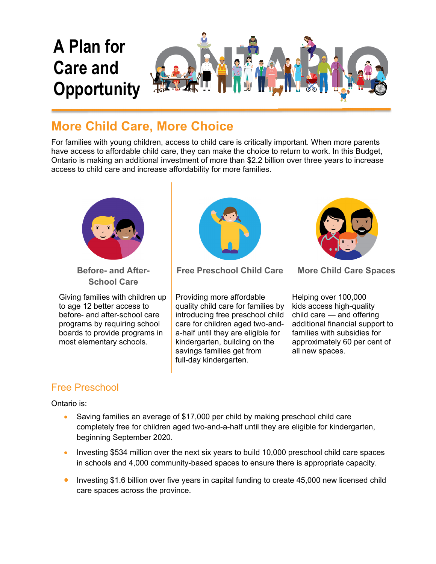

## **More Child Care, More Choice**

For families with young children, access to child care is critically important. When more parents have access to affordable child care, they can make the choice to return to work. In this Budget, Ontario is making an additional investment of more than \$2.2 billion over three years to increase access to child care and increase affordability for more families.



**Before- and After-School Care**

Giving families with children up to age 12 better access to before- and after-school care programs by requiring school boards to provide programs in most elementary schools.



**Free Preschool Child Care More Child Care Spaces**

Providing more affordable quality child care for families by introducing free preschool child care for children aged two-anda-half until they are eligible for kindergarten, building on the savings families get from full-day kindergarten.



Helping over 100,000 kids access high-quality child care — and offering additional financial support to families with subsidies for approximately 60 per cent of all new spaces.

## Free Preschool

Ontario is:

- Saving families an average of \$17,000 per child by making preschool child care completely free for children aged two-and-a-half until they are eligible for kindergarten, beginning September 2020.
- Investing \$534 million over the next six years to build 10,000 preschool child care spaces in schools and 4,000 community-based spaces to ensure there is appropriate capacity.
- Investing \$1.6 billion over five years in capital funding to create 45,000 new licensed child care spaces across the province.